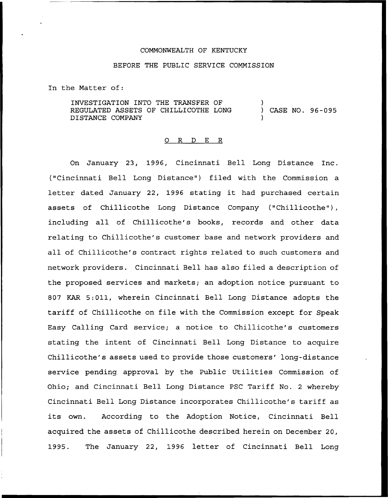## COMMONWEALTH OF KENTUCKY

## BEFORE THE PUBLIC SERVICE COMMISSION

In the Matter of:

INVESTIGATION INTO THE TRANSFER OF REGULATED ASSETS OF CHILLICOTHE LONG DISTANCE COMPANY ) ) CASE NO. 96-095 )

## 0 R <sup>D</sup> E R

On January 23, 1996, Cincinnati Bell Long Distance Inc. ("Cincinnati Bell Long Distance" ) filed with the Commission a letter dated January 22, 1996 stating it had purchased certain assets of Chillicothe Long Distance Company ("Chillicothe"), including all of Chillicothe's books, records and other data relating to Chillicothe's customer base and network providers and all of Chillicothe's contract rights related to such customers and network providers. Cincinnati Bell has also filed a description of the proposed services and markets; an adoption notice pursuant to 807 KAR 5:011, wherein Cincinnati Bell Long Distance adopts the tariff of Chillicothe on file with the Commission except for Speak Easy Calling Card service; a notice to Chillicothe's customers stating the intent of Cincinnati Bell Long Distance to acquire Chillicothe's assets used to provide those customers' long-distance service pending approval by the Public Utilities Commission of Ohio; and Cincinnati Bell Long Distance PSC Tariff No. <sup>2</sup> whereby Cincinnati Bell Long Distance incorporates Chillicothe's tariff as its own. According to the Adoption Notice, Cincinnati Bell acquired the assets of Chillicothe described herein on December 20, 1995. The January 22, 1996 letter of Cincinnati Bell Long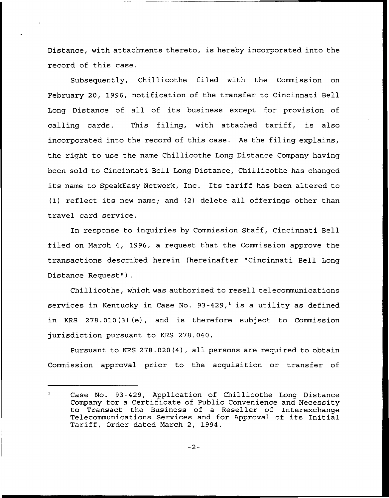Distance, with attachments thereto, is hereby incorporated into the record of this case.

Subsequently, Chillicothe filed with the Commission on February 20, 1996, notification of the transfer to Cincinnati Bell Long Distance of all of its business except for provision of calling cards. This filing, with attached tariff, is also incorporated into the record of this case. As the filing explains, the right to use the name Chillicothe Long Distance Company having been sold to Cincinnati Bell Long Distance, Chillicothe has changed its name to SpeakEasy Network, Inc. Its tariff has been altered to (1) reflect its new name; and (2) delete all offerings other than travel card service.

In response to inquiries by Commission Staff, Cincinnati Bell filed on March 4, 1996, a request that the Commission approve the transactions described herein (hereinafter "Cincinnati Bell Long Distance Request").

Chillicothe, which was authorized to resell telecommunications services in Kentucky in Case No.  $93-429$ , is a utility as defined in KRS 278.010(3)(e), and is therefore subject to Commission jurisdiction pursuant to KRS 278.040.

Pursuant to KRS 278.020(4), all persons are required to obtain Commission approval prior to the acquisition or transfer of

 $\mathbf{1}$ Case No. 93-429, Application of Chillicothe Long Distance Company for a Certificate of Public Convenience and Necessity to Transact the Business of a Reseller of Interexchange Telecommunications Services and for Approval of its Initial Tariff, Order dated March 2, 1994.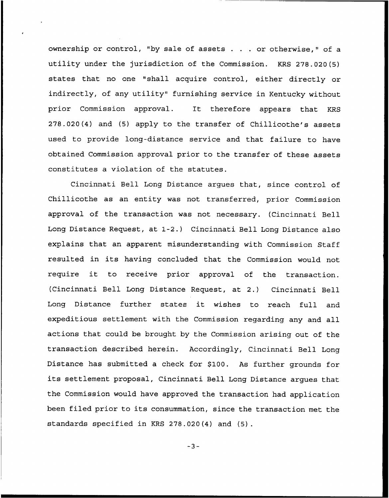ownership or control, "by sale of assets  $\ldots$  or otherwise," of a utility under the jurisdiction of the Commission. KRS 278.020(5) states that no one "shall acquire control, either directly or indirectly, of any utility" furnishing service in Kentucky without prior Commission approval. It therefore appears that KRS 278.020(4) and (5) apply to the transfer of Chillicothe's assets used to provide long-distance service and that failure to have obtained Commission approval prior to the transfer of these assets constitutes a violation of the statutes.

Cincinnati Bell Long Distance argues that, since control of Chillicothe as an entity was not transferred, prior Commission approval of the transaction was not necessary. (Cincinnati Bell Long Distance Request, at 1-2.) Cincinnati Bell Long Distance also explains that an apparent misunderstanding with Commission Staff resulted in its having concluded that the Commission would not require it to receive prior approval of the transaction. (Cincinnati Bell Long Distance Request, at 2.) Cincinnati Bell Long Distance further states it wishes to reach full and expeditious settlement with the Commission regarding any and all actions that could be brought by the Commission arising out of the transaction described herein. Accordingly, Cincinnati Bell Long Distance has submitted a check for \$100. As further grounds for its settlement proposal, Cincinnati Bell Long Distance argues that the Commission would have approved the transaction had application been filed prior to its consummation, since the transaction met the standards specified in KRS 278.020(4) and (5).

 $-3-$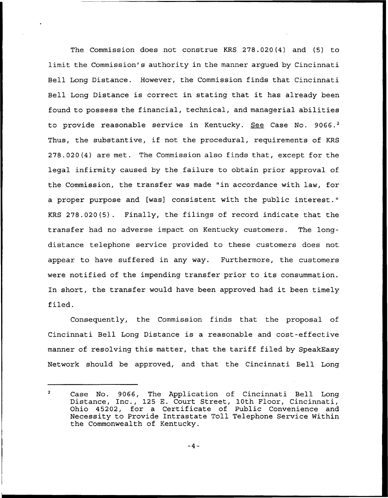The Commission does not construe KRS 278. 020 (4) and (5) to limit the Commission's authority in the manner argued by Cincinnati Bell Long Distance. However, the Commission finds that Cincinnati Bell Long Distance is correct in stating that it has already been found to possess the financial, technical, and managerial abilities to provide reasonable service in Kentucky. See Case No. 9066.<sup>2</sup> Thus, the substantive, if not the procedural, requirements of KRS 278.020(4) are met. The Commission also finds that, except for the legal infirmity caused by the failure to obtain prior approval of the Commission, the transfer was made "in accordance with law, for a proper purpose and [was] consistent with the public interest." KRS 278.020(5). Finally, the filings of record indicate that the transfer had no adverse impact on Kentucky customers. The longdistance telephone service provided to these customers does not appear to have suffered in any way. Furthermore, the customers were notified of the impending transfer prior to its consummation. In short, the transfer would have been approved had it been timely filed.

Consequently, the Commission finds that the proposal of Cincinnati Bell Long Distance is a reasonable and cost-effective manner of resolving this matter, that the tariff filed by SpeakEasy Network should be approved, and that the Cincinnati Bell Long

 $\overline{2}$ Case No. 9066, The Application of Cincinnati Bell Long Distance, Inc., 125 E. Court Street, 10th Floor, Cincinnati Ohio 45202, for a Certificate of Public Convenience and Necessity to Provide Intrastate Toll Telephone Service Within the Commonwealth of Kentucky.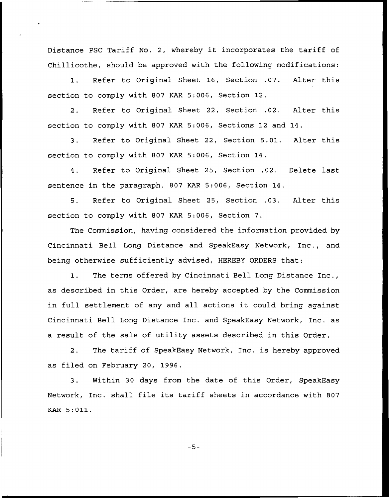Distance PSC Tariff No. 2, whereby it incorporates the tariff of Chillicothe, should be approved with the following modifications:

1. Refer to Original Sheet 16, Section .07. Alter this section to comply with 807 KAR 5:006, Section 12.

2. Refer to Original Sheet 22, Section .02. Alter this section to comply with 807 KAR 5:006, Sections 12 and 14.

3. Refer to Original Sheet 22, Section 5.01. Alter this section to comply with 807 KAR 5:006, Section 14.

4. Refer to Original Sheet 25, Section .02. Delete last sentence in the paragraph. 807 KAR 5:006, Section 14.

5. Refer to Original Sheet 25, Section .03. Alter this section to comply with 807 KAR 5:006, Section 7.

The Commission, having considered the information provided by Cincinnati Bell Long Distance and SpeakEasy Network, Inc., and being otherwise sufficiently advised, HEREBY ORDERS that:

1. The terms offered by Cincinnati Bell Long Distance Inc., as described in this Order, are hereby accepted by the Commission in full settlement of any and all actions it could bring against Cincinnati Bell Long Distance Inc. and SpeakEasy Network, Inc. as a result of the sale of utility assets described in this Order.

2. The tariff of SpeakEasy Network, Inc. is hereby approved as filed on February 20, 1996.

3. Within 30 days from the date of this Order, SpeakEasy Network, Inc. shall file its tariff sheets in accordance with <sup>807</sup> KAR 5:011.

 $-5-$